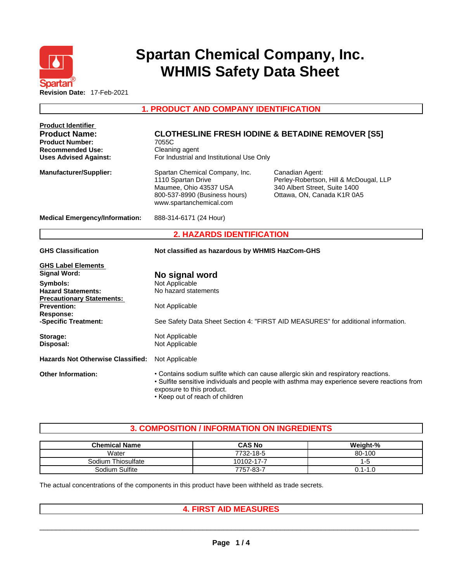

# **Spartan Chemical Company, Inc. WHMIS Safety Data Sheet**

**1. PRODUCT AND COMPANY IDENTIFICATION** 

| <b>Product Identifier</b>                                     |                                                                                                                                                                                                                                                   |                                                                                                                          |  |  |  |  |
|---------------------------------------------------------------|---------------------------------------------------------------------------------------------------------------------------------------------------------------------------------------------------------------------------------------------------|--------------------------------------------------------------------------------------------------------------------------|--|--|--|--|
| <b>Product Name:</b><br><b>Product Number:</b>                | <b>CLOTHESLINE FRESH IODINE &amp; BETADINE REMOVER [S5]</b><br>7055C                                                                                                                                                                              |                                                                                                                          |  |  |  |  |
| <b>Recommended Use:</b><br>Cleaning agent                     |                                                                                                                                                                                                                                                   |                                                                                                                          |  |  |  |  |
| <b>Uses Advised Against:</b>                                  | For Industrial and Institutional Use Only                                                                                                                                                                                                         |                                                                                                                          |  |  |  |  |
| <b>Manufacturer/Supplier:</b>                                 | Spartan Chemical Company, Inc.<br>1110 Spartan Drive<br>Maumee, Ohio 43537 USA<br>800-537-8990 (Business hours)<br>www.spartanchemical.com                                                                                                        | Canadian Agent:<br>Perley-Robertson, Hill & McDougal, LLP<br>340 Albert Street, Suite 1400<br>Ottawa, ON, Canada K1R 0A5 |  |  |  |  |
| <b>Medical Emergency/Information:</b>                         | 888-314-6171 (24 Hour)                                                                                                                                                                                                                            |                                                                                                                          |  |  |  |  |
|                                                               | <b>2. HAZARDS IDENTIFICATION</b>                                                                                                                                                                                                                  |                                                                                                                          |  |  |  |  |
| <b>GHS Classification</b>                                     | Not classified as hazardous by WHMIS HazCom-GHS                                                                                                                                                                                                   |                                                                                                                          |  |  |  |  |
| <b>GHS Label Elements</b>                                     |                                                                                                                                                                                                                                                   |                                                                                                                          |  |  |  |  |
| <b>Signal Word:</b>                                           | No signal word                                                                                                                                                                                                                                    |                                                                                                                          |  |  |  |  |
| Symbols:                                                      | Not Applicable                                                                                                                                                                                                                                    |                                                                                                                          |  |  |  |  |
| <b>Hazard Statements:</b><br><b>Precautionary Statements:</b> | No hazard statements                                                                                                                                                                                                                              |                                                                                                                          |  |  |  |  |
| <b>Prevention:</b>                                            | Not Applicable                                                                                                                                                                                                                                    |                                                                                                                          |  |  |  |  |
| Response:                                                     |                                                                                                                                                                                                                                                   |                                                                                                                          |  |  |  |  |
| -Specific Treatment:                                          |                                                                                                                                                                                                                                                   | See Safety Data Sheet Section 4: "FIRST AID MEASURES" for additional information.                                        |  |  |  |  |
| Storage:                                                      | Not Applicable                                                                                                                                                                                                                                    |                                                                                                                          |  |  |  |  |
| Disposal:                                                     | Not Applicable                                                                                                                                                                                                                                    |                                                                                                                          |  |  |  |  |
| <b>Hazards Not Otherwise Classified:</b>                      | Not Applicable                                                                                                                                                                                                                                    |                                                                                                                          |  |  |  |  |
| <b>Other Information:</b>                                     | • Contains sodium sulfite which can cause allergic skin and respiratory reactions.<br>• Sulfite sensitive individuals and people with asthma may experience severe reactions from<br>exposure to this product.<br>• Keep out of reach of children |                                                                                                                          |  |  |  |  |

# **3. COMPOSITION / INFORMATION ON INGREDIENTS**

| <b>Chemical Name</b> | <b>CAS No</b> | Weight-%    |
|----------------------|---------------|-------------|
| Water                | 7732-18-5     | 80-100      |
| Sodium Thiosulfate   | 10102-17-7    | 1-5         |
| Sodium Sulfite       | 7757-83-7     | $0.1 - 1.0$ |

The actual concentrations of the components in this product have been withheld as trade secrets.

# **4. FIRST AID MEASURES**

 $\_$  ,  $\_$  ,  $\_$  ,  $\_$  ,  $\_$  ,  $\_$  ,  $\_$  ,  $\_$  ,  $\_$  ,  $\_$  ,  $\_$  ,  $\_$  ,  $\_$  ,  $\_$  ,  $\_$  ,  $\_$  ,  $\_$  ,  $\_$  ,  $\_$  ,  $\_$  ,  $\_$  ,  $\_$  ,  $\_$  ,  $\_$  ,  $\_$  ,  $\_$  ,  $\_$  ,  $\_$  ,  $\_$  ,  $\_$  ,  $\_$  ,  $\_$  ,  $\_$  ,  $\_$  ,  $\_$  ,  $\_$  ,  $\_$  ,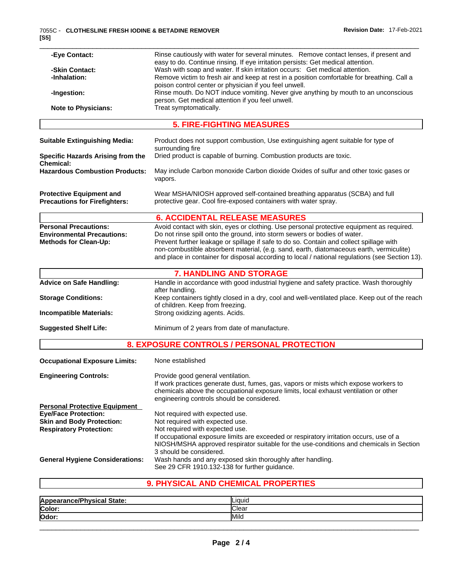| -Eye Contact:                            | Rinse cautiously with water for several minutes. Remove contact lenses, if present and                                                                                                     |
|------------------------------------------|--------------------------------------------------------------------------------------------------------------------------------------------------------------------------------------------|
| -Skin Contact:                           | easy to do. Continue rinsing. If eye irritation persists: Get medical attention.<br>Wash with soap and water. If skin irritation occurs: Get medical attention.                            |
| -Inhalation:                             | Remove victim to fresh air and keep at rest in a position comfortable for breathing. Call a                                                                                                |
|                                          | poison control center or physician if you feel unwell.                                                                                                                                     |
| -Ingestion:                              | Rinse mouth. Do NOT induce vomiting. Never give anything by mouth to an unconscious                                                                                                        |
|                                          | person. Get medical attention if you feel unwell.                                                                                                                                          |
| <b>Note to Physicians:</b>               | Treat symptomatically.                                                                                                                                                                     |
|                                          | <b>5. FIRE-FIGHTING MEASURES</b>                                                                                                                                                           |
| <b>Suitable Extinguishing Media:</b>     | Product does not support combustion, Use extinguishing agent suitable for type of                                                                                                          |
|                                          | surrounding fire                                                                                                                                                                           |
| <b>Specific Hazards Arising from the</b> | Dried product is capable of burning. Combustion products are toxic.                                                                                                                        |
| <b>Chemical:</b>                         |                                                                                                                                                                                            |
| <b>Hazardous Combustion Products:</b>    | May include Carbon monoxide Carbon dioxide Oxides of sulfur and other toxic gases or<br>vapors.                                                                                            |
|                                          |                                                                                                                                                                                            |
| <b>Protective Equipment and</b>          | Wear MSHA/NIOSH approved self-contained breathing apparatus (SCBA) and full                                                                                                                |
| <b>Precautions for Firefighters:</b>     | protective gear. Cool fire-exposed containers with water spray.                                                                                                                            |
|                                          | <b>6. ACCIDENTAL RELEASE MEASURES</b>                                                                                                                                                      |
| <b>Personal Precautions:</b>             | Avoid contact with skin, eyes or clothing. Use personal protective equipment as required.                                                                                                  |
| <b>Environmental Precautions:</b>        | Do not rinse spill onto the ground, into storm sewers or bodies of water.                                                                                                                  |
| <b>Methods for Clean-Up:</b>             | Prevent further leakage or spillage if safe to do so. Contain and collect spillage with                                                                                                    |
|                                          | non-combustible absorbent material, (e.g. sand, earth, diatomaceous earth, vermiculite)<br>and place in container for disposal according to local / national regulations (see Section 13). |
|                                          |                                                                                                                                                                                            |
|                                          | <b>7. HANDLING AND STORAGE</b>                                                                                                                                                             |
| <b>Advice on Safe Handling:</b>          | Handle in accordance with good industrial hygiene and safety practice. Wash thoroughly                                                                                                     |
|                                          | after handling.<br>Keep containers tightly closed in a dry, cool and well-ventilated place. Keep out of the reach                                                                          |
| <b>Storage Conditions:</b>               | of children. Keep from freezing.                                                                                                                                                           |
| <b>Incompatible Materials:</b>           | Strong oxidizing agents. Acids.                                                                                                                                                            |
|                                          |                                                                                                                                                                                            |
| <b>Suggested Shelf Life:</b>             | Minimum of 2 years from date of manufacture.                                                                                                                                               |
|                                          | 8. EXPOSURE CONTROLS / PERSONAL PROTECTION                                                                                                                                                 |
| <b>Occupational Exposure Limits:</b>     | None established                                                                                                                                                                           |
| <b>Engineering Controls:</b>             | Provide good general ventilation.                                                                                                                                                          |
|                                          | If work practices generate dust, fumes, gas, vapors or mists which expose workers to                                                                                                       |
|                                          | chemicals above the occupational exposure limits, local exhaust ventilation or other                                                                                                       |
|                                          | engineering controls should be considered.                                                                                                                                                 |
| <b>Personal Protective Equipment</b>     |                                                                                                                                                                                            |
| <b>Eye/Face Protection:</b>              | Not required with expected use.                                                                                                                                                            |
| <b>Skin and Body Protection:</b>         | Not required with expected use.                                                                                                                                                            |
| <b>Respiratory Protection:</b>           | Not required with expected use.                                                                                                                                                            |
|                                          | If occupational exposure limits are exceeded or respiratory irritation occurs, use of a<br>NIOSH/MSHA approved respirator suitable for the use-conditions and chemicals in Section         |
|                                          | 3 should be considered.                                                                                                                                                                    |
| <b>General Hygiene Considerations:</b>   | Wash hands and any exposed skin thoroughly after handling.                                                                                                                                 |
|                                          | See 29 CFR 1910.132-138 for further guidance.                                                                                                                                              |
|                                          |                                                                                                                                                                                            |
|                                          | 9. PHYSICAL AND CHEMICAL PROPERTIES                                                                                                                                                        |

| Appearance/Physical State: | Liauid       |  |
|----------------------------|--------------|--|
| Color:                     | <b>Clear</b> |  |
| Odor:                      | Mild         |  |
|                            |              |  |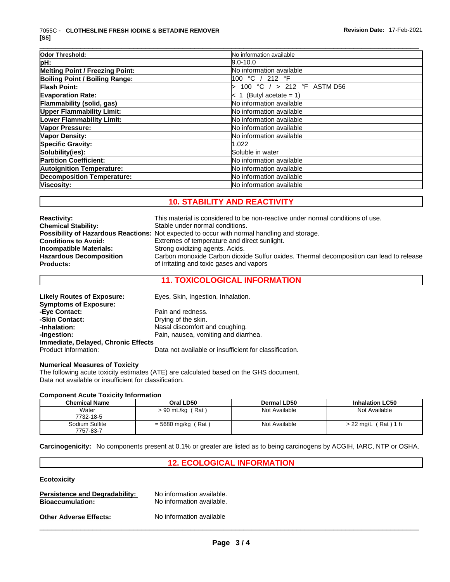| Odor Threshold:                   | No information available   |  |
|-----------------------------------|----------------------------|--|
| pH:                               | $9.0 - 10.0$               |  |
| Melting Point / Freezing Point:   | No information available   |  |
| Boiling Point / Boiling Range:    | 100 °C / 212 °F            |  |
| <b>Flash Point:</b>               | 100 °C / > 212 °F ASTM D56 |  |
| <b>Evaporation Rate:</b>          | $< 1$ (Butyl acetate = 1)  |  |
| Flammability (solid, gas)         | No information available   |  |
| <b>Upper Flammability Limit:</b>  | No information available   |  |
| Lower Flammability Limit:         | No information available   |  |
| Vapor Pressure:                   | No information available   |  |
| <b>Vapor Density:</b>             | No information available   |  |
| <b>Specific Gravity:</b>          | 1.022                      |  |
| Solubility(ies):                  | Soluble in water           |  |
| <b>Partition Coefficient:</b>     | No information available   |  |
| <b>Autoignition Temperature:</b>  | No information available   |  |
| <b>Decomposition Temperature:</b> | No information available   |  |
| Viscosity:                        | No information available   |  |

# **10. STABILITY AND REACTIVITY**

| <b>Reactivity:</b><br><b>Chemical Stability:</b><br><b>Conditions to Avoid:</b><br>Incompatible Materials:<br><b>Hazardous Decomposition</b> | This material is considered to be non-reactive under normal conditions of use.<br>Stable under normal conditions.<br><b>Possibility of Hazardous Reactions:</b> Not expected to occur with normal handling and storage.<br>Extremes of temperature and direct sunlight.<br>Strong oxidizing agents. Acids.<br>Carbon monoxide Carbon dioxide Sulfur oxides. Thermal decomposition can lead to release |
|----------------------------------------------------------------------------------------------------------------------------------------------|-------------------------------------------------------------------------------------------------------------------------------------------------------------------------------------------------------------------------------------------------------------------------------------------------------------------------------------------------------------------------------------------------------|
| <b>Products:</b>                                                                                                                             | of irritating and toxic gases and vapors                                                                                                                                                                                                                                                                                                                                                              |
|                                                                                                                                              |                                                                                                                                                                                                                                                                                                                                                                                                       |

# **11. TOXICOLOGICAL INFORMATION**

| Eyes, Skin, Ingestion, Inhalation.                     |
|--------------------------------------------------------|
|                                                        |
| Pain and redness.                                      |
| Drying of the skin.                                    |
| Nasal discomfort and coughing.                         |
| Pain, nausea, vomiting and diarrhea.                   |
| Immediate, Delayed, Chronic Effects                    |
| Data not available or insufficient for classification. |
|                                                        |

### **Numerical Measures of Toxicity**

The following acute toxicity estimates (ATE) are calculated based on the GHS document. Data not available or insufficient for classification.

#### **Component Acute Toxicity Information**

| <b>Chemical Name</b>        | Oral LD50            | Dermal LD50   | <b>Inhalation LC50</b>            |
|-----------------------------|----------------------|---------------|-----------------------------------|
| Water<br>7732-18-5          | $> 90$ mL/kg (Rat)   | Not Available | Not Available                     |
| Sodium Sulfite<br>7757-83-7 | $=$ 5680 mg/kg (Rat) | Not Available | $> 22 \text{ mg/L}$ (<br>(Rat)1 h |

**Carcinogenicity:** No components present at 0.1% or greater arelisted as to being carcinogens by ACGIH, IARC, NTP or OSHA.

## **12. ECOLOGICAL INFORMATION**

## **Ecotoxicity**

| <b>Persistence and Degradability:</b> | No information available. |
|---------------------------------------|---------------------------|
| <b>Bioaccumulation:</b>               | No information available. |
| <b>Other Adverse Effects:</b>         | No information available  |

 $\_$  ,  $\_$  ,  $\_$  ,  $\_$  ,  $\_$  ,  $\_$  ,  $\_$  ,  $\_$  ,  $\_$  ,  $\_$  ,  $\_$  ,  $\_$  ,  $\_$  ,  $\_$  ,  $\_$  ,  $\_$  ,  $\_$  ,  $\_$  ,  $\_$  ,  $\_$  ,  $\_$  ,  $\_$  ,  $\_$  ,  $\_$  ,  $\_$  ,  $\_$  ,  $\_$  ,  $\_$  ,  $\_$  ,  $\_$  ,  $\_$  ,  $\_$  ,  $\_$  ,  $\_$  ,  $\_$  ,  $\_$  ,  $\_$  ,